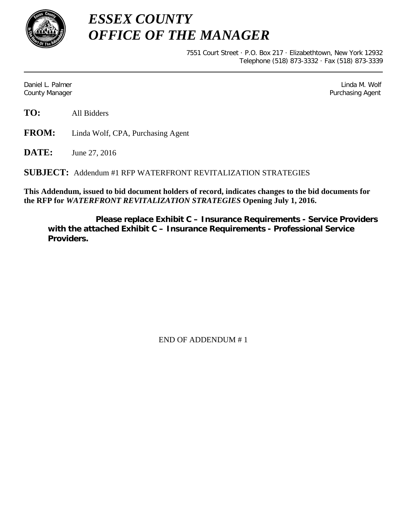

*ESSEX COUNTY OFFICE OF THE MANAGER*

> 7551 Court Street · P.O. Box 217 · Elizabethtown, New York 12932 Telephone (518) 873-3332 · Fax (518) 873-3339

Daniel L. Palmer Later and the control of the control of the control of the control of the control of the control of the control of the control of the control of the control of the control of the control of the control of County Manager Purchasing Agent

**TO:** All Bidders

**FROM:** Linda Wolf, CPA, Purchasing Agent

**DATE:** June 27, 2016

**SUBJECT:** Addendum #1 RFP WATERFRONT REVITALIZATION STRATEGIES

**This Addendum, issued to bid document holders of record, indicates changes to the bid documents for the RFP for** *WATERFRONT REVITALIZATION STRATEGIES* **Opening July 1, 2016.**

**Please replace Exhibit C – Insurance Requirements - Service Providers with the attached Exhibit C – Insurance Requirements - Professional Service Providers.**

END OF ADDENDUM # 1